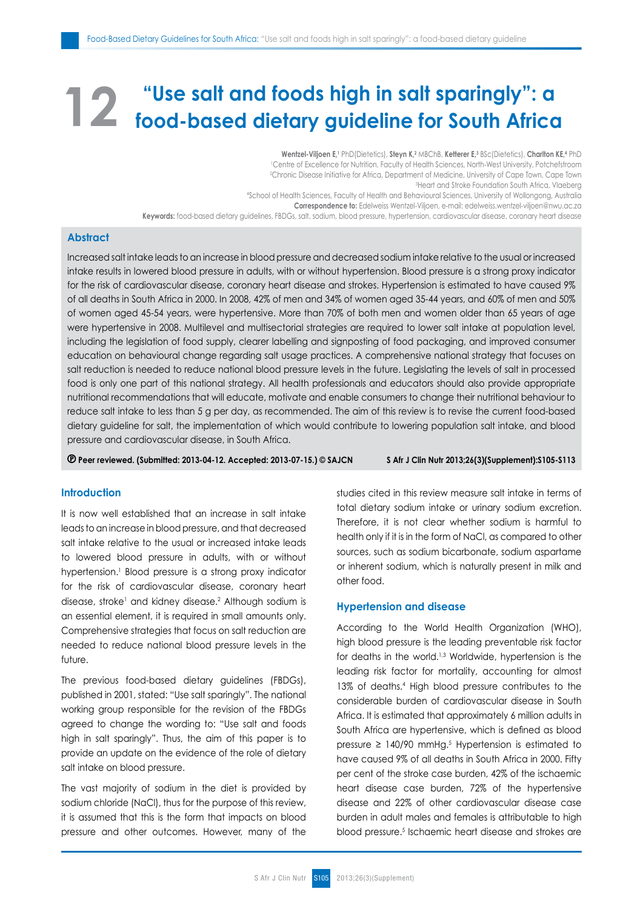# **"Use salt and foods high in salt sparingly": a food-based dietary guideline for South Africa**

**Wentzel-Viljoen E,1** PhD(Dietetics), **Steyn K,2** MBChB, **Ketterer E,3** BSc(Dietetics), **Charlton KE,4** PhD 1 Centre of Excellence for Nutrition, Faculty of Health Sciences, North-West University, Potchefstroom Chronic Disease Initiative for Africa, Department of Medicine, University of Cape Town, Cape Town?<br>Africa Maebera (المطابق العربية المصلة) <sup>3</sup> Heart and Stroke Foundation South Africa, Vlaeberg 4 School of Health Sciences, Faculty of Health and Behavioural Sciences, University of Wollongong, Australia **Correspondence to:** Edelweiss Wentzel-Viljoen, e-mail: edelweiss.wentzel-viljoen@nwu.ac.za **Keywords:** food-based dietary guidelines, FBDGs, salt, sodium, blood pressure, hypertension, cardiovascular disease, coronary heart disease

# **Abstract**

Increased salt intake leads to an increase in blood pressure and decreased sodium intake relative to the usual or increased intake results in lowered blood pressure in adults, with or without hypertension. Blood pressure is a strong proxy indicator for the risk of cardiovascular disease, coronary heart disease and strokes. Hypertension is estimated to have caused 9% of all deaths in South Africa in 2000. In 2008, 42% of men and 34% of women aged 35-44 years, and 60% of men and 50% of women aged 45-54 years, were hypertensive. More than 70% of both men and women older than 65 years of age were hypertensive in 2008. Multilevel and multisectorial strategies are required to lower salt intake at population level, including the legislation of food supply, clearer labelling and signposting of food packaging, and improved consumer education on behavioural change regarding salt usage practices. A comprehensive national strategy that focuses on salt reduction is needed to reduce national blood pressure levels in the future. Legislating the levels of salt in processed food is only one part of this national strategy. All health professionals and educators should also provide appropriate nutritional recommendations that will educate, motivate and enable consumers to change their nutritional behaviour to reduce salt intake to less than 5 g per day, as recommended. The aim of this review is to revise the current food-based dietary guideline for salt, the implementation of which would contribute to lowering population salt intake, and blood pressure and cardiovascular disease, in South Africa.

 **Peer reviewed. (Submitted: 2013-04-12. Accepted: 2013-07-15.) © SAJCN S Afr J Clin Nutr 2013;26(3)(Supplement):S105-S113**

## **Introduction**

It is now well established that an increase in salt intake leads to an increase in blood pressure, and that decreased salt intake relative to the usual or increased intake leads to lowered blood pressure in adults, with or without hypertension.1 Blood pressure is a strong proxy indicator for the risk of cardiovascular disease, coronary heart disease, stroke<sup>1</sup> and kidney disease.<sup>2</sup> Although sodium is an essential element, it is required in small amounts only. Comprehensive strategies that focus on salt reduction are needed to reduce national blood pressure levels in the future.

The previous food-based dietary guidelines (FBDGs), published in 2001, stated: "Use salt sparingly". The national working group responsible for the revision of the FBDGs agreed to change the wording to: "Use salt and foods high in salt sparingly". Thus, the aim of this paper is to provide an update on the evidence of the role of dietary salt intake on blood pressure.

The vast majority of sodium in the diet is provided by sodium chloride (NaCl), thus for the purpose of this review, it is assumed that this is the form that impacts on blood pressure and other outcomes. However, many of the studies cited in this review measure salt intake in terms of total dietary sodium intake or urinary sodium excretion. Therefore, it is not clear whether sodium is harmful to health only if it is in the form of NaCl, as compared to other sources, such as sodium bicarbonate, sodium aspartame or inherent sodium, which is naturally present in milk and other food.

## **Hypertension and disease**

According to the World Health Organization (WHO), high blood pressure is the leading preventable risk factor for deaths in the world.<sup>1,3</sup> Worldwide, hypertension is the leading risk factor for mortality, accounting for almost 13% of deaths.4 High blood pressure contributes to the considerable burden of cardiovascular disease in South Africa. It is estimated that approximately 6 million adults in South Africa are hypertensive, which is defined as blood pressure ≥ 140/90 mmHg.<sup>5</sup> Hypertension is estimated to have caused 9% of all deaths in South Africa in 2000. Fifty per cent of the stroke case burden, 42% of the ischaemic heart disease case burden, 72% of the hypertensive disease and 22% of other cardiovascular disease case burden in adult males and females is attributable to high blood pressure.5 Ischaemic heart disease and strokes are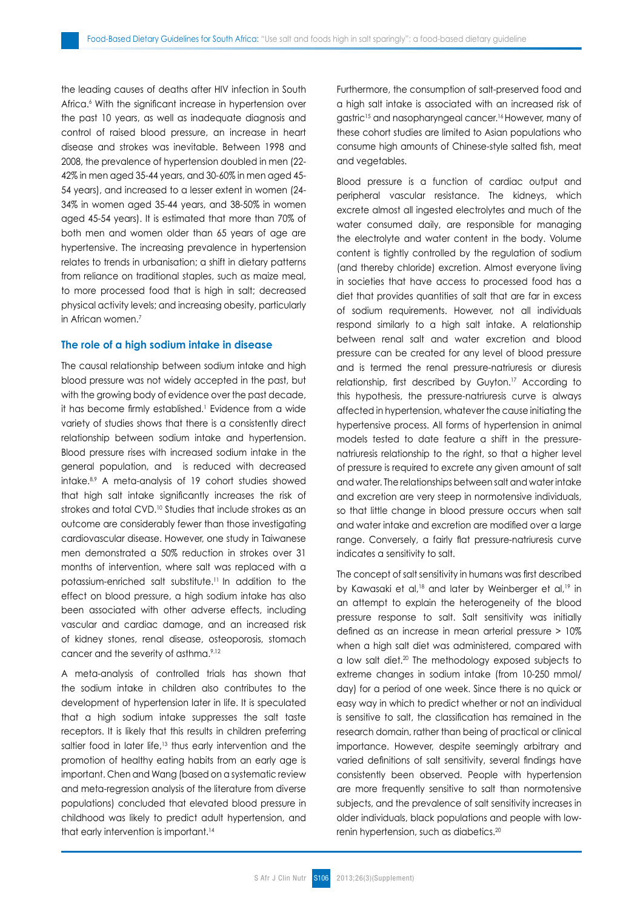the leading causes of deaths after HIV infection in South Africa.6 With the significant increase in hypertension over the past 10 years, as well as inadequate diagnosis and control of raised blood pressure, an increase in heart disease and strokes was inevitable. Between 1998 and 2008, the prevalence of hypertension doubled in men (22- 42% in men aged 35-44 years, and 30-60% in men aged 45- 54 years), and increased to a lesser extent in women (24- 34% in women aged 35-44 years, and 38-50% in women aged 45-54 years). It is estimated that more than 70% of both men and women older than 65 years of age are hypertensive. The increasing prevalence in hypertension relates to trends in urbanisation; a shift in dietary patterns from reliance on traditional staples, such as maize meal, to more processed food that is high in salt; decreased physical activity levels; and increasing obesity, particularly in African women.7

## **The role of a high sodium intake in disease**

The causal relationship between sodium intake and high blood pressure was not widely accepted in the past, but with the growing body of evidence over the past decade, it has become firmly established.<sup>1</sup> Evidence from a wide variety of studies shows that there is a consistently direct relationship between sodium intake and hypertension. Blood pressure rises with increased sodium intake in the general population, and is reduced with decreased intake.8,9 A meta-analysis of 19 cohort studies showed that high salt intake significantly increases the risk of strokes and total CVD.<sup>10</sup> Studies that include strokes as an outcome are considerably fewer than those investigating cardiovascular disease. However, one study in Taiwanese men demonstrated a 50% reduction in strokes over 31 months of intervention, where salt was replaced with a potassium-enriched salt substitute.11 In addition to the effect on blood pressure, a high sodium intake has also been associated with other adverse effects, including vascular and cardiac damage, and an increased risk of kidney stones, renal disease, osteoporosis, stomach cancer and the severity of asthma.<sup>9,12</sup>

A meta-analysis of controlled trials has shown that the sodium intake in children also contributes to the development of hypertension later in life. It is speculated that a high sodium intake suppresses the salt taste receptors. It is likely that this results in children preferring saltier food in later life,<sup>13</sup> thus early intervention and the promotion of healthy eating habits from an early age is important. Chen and Wang (based on a systematic review and meta-regression analysis of the literature from diverse populations) concluded that elevated blood pressure in childhood was likely to predict adult hypertension, and that early intervention is important.<sup>14</sup>

Furthermore, the consumption of salt-preserved food and a high salt intake is associated with an increased risk of agstric<sup>15</sup> and nasopharyngeal cancer.<sup>16</sup> However, many of these cohort studies are limited to Asian populations who consume high amounts of Chinese-style salted fish, meat and vegetables.

Blood pressure is a function of cardiac output and peripheral vascular resistance. The kidneys, which excrete almost all ingested electrolytes and much of the water consumed daily, are responsible for managing the electrolyte and water content in the body. Volume content is tightly controlled by the regulation of sodium (and thereby chloride) excretion. Almost everyone living in societies that have access to processed food has a diet that provides quantities of salt that are far in excess of sodium requirements. However, not all individuals respond similarly to a high salt intake. A relationship between renal salt and water excretion and blood pressure can be created for any level of blood pressure and is termed the renal pressure-natriuresis or diuresis relationship, first described by Guyton.<sup>17</sup> According to this hypothesis, the pressure-natriuresis curve is always affected in hypertension, whatever the cause initiating the hypertensive process. All forms of hypertension in animal models tested to date feature a shift in the pressurenatriuresis relationship to the right, so that a higher level of pressure is required to excrete any given amount of salt and water. The relationships between salt and water intake and excretion are very steep in normotensive individuals, so that little change in blood pressure occurs when salt and water intake and excretion are modified over a large range. Conversely, a fairly flat pressure-natriuresis curve indicates a sensitivity to salt.

The concept of salt sensitivity in humans was first described by Kawasaki et al,<sup>18</sup> and later by Weinberger et al,<sup>19</sup> in an attempt to explain the heterogeneity of the blood pressure response to salt. Salt sensitivity was initially defined as an increase in mean arterial pressure > 10% when a high salt diet was administered, compared with a low salt diet.20 The methodology exposed subjects to extreme changes in sodium intake (from 10-250 mmol/ day) for a period of one week. Since there is no quick or easy way in which to predict whether or not an individual is sensitive to salt, the classification has remained in the research domain, rather than being of practical or clinical importance. However, despite seemingly arbitrary and varied definitions of salt sensitivity, several findings have consistently been observed. People with hypertension are more frequently sensitive to salt than normotensive subjects, and the prevalence of salt sensitivity increases in older individuals, black populations and people with lowrenin hypertension, such as diabetics.20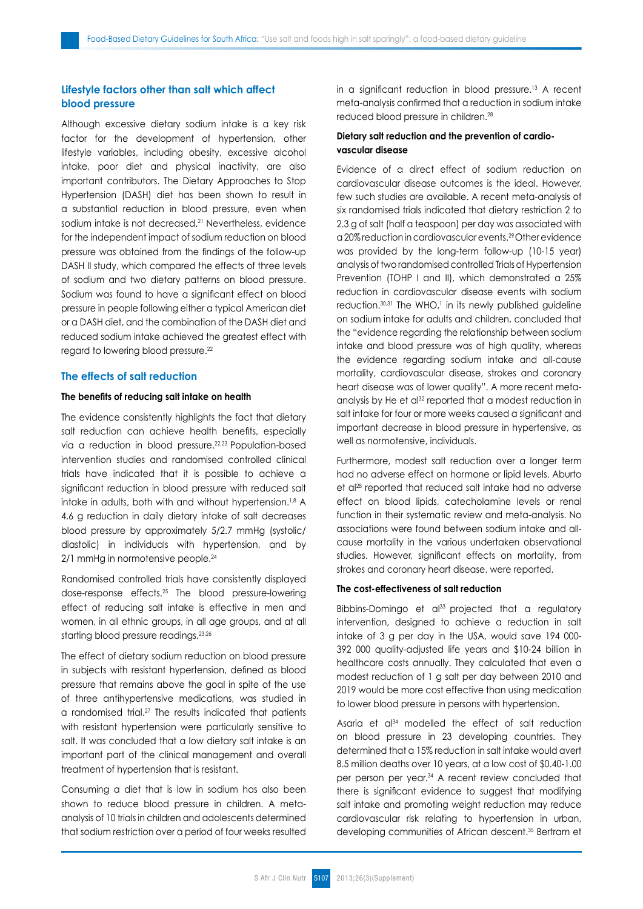# **Lifestyle factors other than salt which affect blood pressure**

Although excessive dietary sodium intake is a key risk factor for the development of hypertension, other lifestyle variables, including obesity, excessive alcohol intake, poor diet and physical inactivity, are also important contributors. The Dietary Approaches to Stop Hypertension (DASH) diet has been shown to result in a substantial reduction in blood pressure, even when sodium intake is not decreased.<sup>21</sup> Nevertheless, evidence for the independent impact of sodium reduction on blood pressure was obtained from the findings of the follow-up DASH II study, which compared the effects of three levels of sodium and two dietary patterns on blood pressure. Sodium was found to have a significant effect on blood pressure in people following either a typical American diet or a DASH diet, and the combination of the DASH diet and reduced sodium intake achieved the greatest effect with regard to lowering blood pressure.22

## **The effects of salt reduction**

# **The benefits of reducing salt intake on health**

The evidence consistently highlights the fact that dietary salt reduction can achieve health benefits, especially via a reduction in blood pressure.<sup>22,23</sup> Population-based intervention studies and randomised controlled clinical trials have indicated that it is possible to achieve a significant reduction in blood pressure with reduced salt intake in adults, both with and without hypertension.<sup>1,8</sup> A 4.6 g reduction in daily dietary intake of salt decreases blood pressure by approximately 5/2.7 mmHg (systolic/ diastolic) in individuals with hypertension, and by 2/1 mmHg in normotensive people.<sup>24</sup>

Randomised controlled trials have consistently displayed dose-response effects.25 The blood pressure-lowering effect of reducing salt intake is effective in men and women, in all ethnic groups, in all age groups, and at all starting blood pressure readings.<sup>23,26</sup>

The effect of dietary sodium reduction on blood pressure in subjects with resistant hypertension, defined as blood pressure that remains above the goal in spite of the use of three antihypertensive medications, was studied in a randomised trial.27 The results indicated that patients with resistant hypertension were particularly sensitive to salt. It was concluded that a low dietary salt intake is an important part of the clinical management and overall treatment of hypertension that is resistant.

Consuming a diet that is low in sodium has also been shown to reduce blood pressure in children. A metaanalysis of 10 trials in children and adolescents determined that sodium restriction over a period of four weeks resulted in a significant reduction in blood pressure.<sup>13</sup> A recent meta-analysis confirmed that a reduction in sodium intake reduced blood pressure in children.28

# **Dietary salt reduction and the prevention of cardiovascular disease**

Evidence of a direct effect of sodium reduction on cardiovascular disease outcomes is the ideal. However, few such studies are available. A recent meta-analysis of six randomised trials indicated that dietary restriction 2 to 2.3 g of salt (half a teaspoon) per day was associated with a 20% reduction in cardiovascular events.<sup>29</sup>Other evidence was provided by the long-term follow-up (10-15 year) analysis of two randomised controlled Trials of Hypertension Prevention (TOHP I and II), which demonstrated a 25% reduction in cardiovascular disease events with sodium reduction. $30,31$  The WHO, $1$  in its newly published guideline on sodium intake for adults and children, concluded that the "evidence regarding the relationship between sodium intake and blood pressure was of high quality, whereas the evidence regarding sodium intake and all-cause mortality, cardiovascular disease, strokes and coronary heart disease was of lower quality". A more recent metaanalysis by He et al<sup>32</sup> reported that a modest reduction in salt intake for four or more weeks caused a significant and important decrease in blood pressure in hypertensive, as well as normotensive, individuals.

Furthermore, modest salt reduction over a longer term had no adverse effect on hormone or lipid levels. Aburto et al<sup>28</sup> reported that reduced salt intake had no adverse effect on blood lipids, catecholamine levels or renal function in their systematic review and meta-analysis. No associations were found between sodium intake and allcause mortality in the various undertaken observational studies. However, significant effects on mortality, from strokes and coronary heart disease, were reported.

# **The cost-effectiveness of salt reduction**

Bibbins-Domingo et al<sup>33</sup> projected that a regulatory intervention, designed to achieve a reduction in salt intake of 3 g per day in the USA, would save 194 000- 392 000 quality-adjusted life years and \$10-24 billion in healthcare costs annually. They calculated that even a modest reduction of 1 g salt per day between 2010 and 2019 would be more cost effective than using medication to lower blood pressure in persons with hypertension.

Asaria et al<sup>34</sup> modelled the effect of salt reduction on blood pressure in 23 developing countries. They determined that a 15% reduction in salt intake would avert 8.5 million deaths over 10 years, at a low cost of \$0.40-1.00 per person per year.34 A recent review concluded that there is significant evidence to suggest that modifying salt intake and promoting weight reduction may reduce cardiovascular risk relating to hypertension in urban, developing communities of African descent.35 Bertram et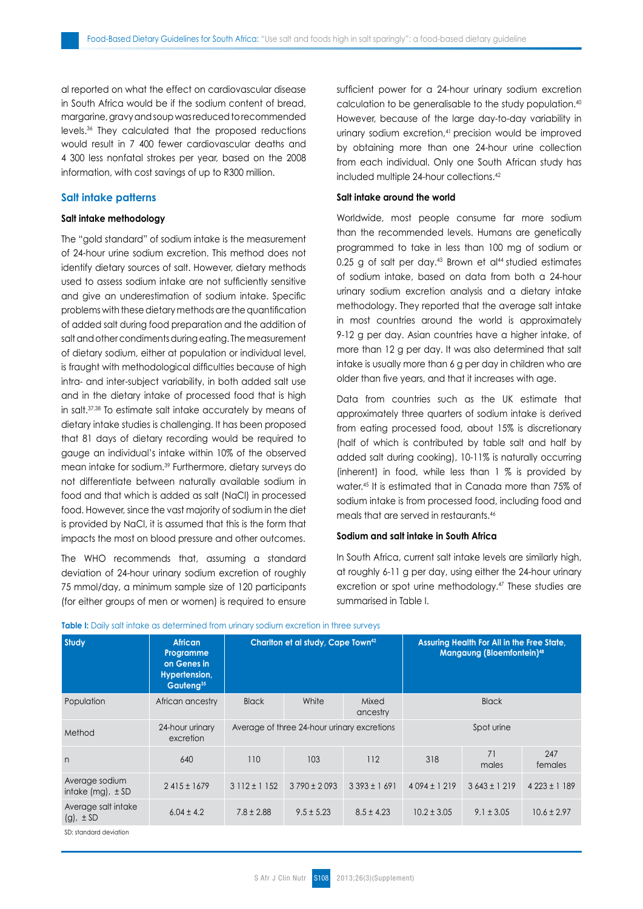al reported on what the effect on cardiovascular disease in South Africa would be if the sodium content of bread, margarine, gravy and soup was reduced to recommended levels.36 They calculated that the proposed reductions would result in 7 400 fewer cardiovascular deaths and 4 300 less nonfatal strokes per year, based on the 2008 information, with cost savings of up to R300 million.

# **Salt intake patterns**

## **Salt intake methodology**

The "gold standard" of sodium intake is the measurement of 24-hour urine sodium excretion. This method does not identify dietary sources of salt. However, dietary methods used to assess sodium intake are not sufficiently sensitive and give an underestimation of sodium intake. Specific problems with these dietary methods are the quantification of added salt during food preparation and the addition of salt and other condiments during eating. The measurement of dietary sodium, either at population or individual level, is fraught with methodological difficulties because of high intra- and inter-subject variability, in both added salt use and in the dietary intake of processed food that is high in salt.37,38 To estimate salt intake accurately by means of dietary intake studies is challenging. It has been proposed that 81 days of dietary recording would be required to gauge an individual's intake within 10% of the observed mean intake for sodium.<sup>39</sup> Furthermore, dietary surveys do not differentiate between naturally available sodium in food and that which is added as salt (NaCl) in processed food. However, since the vast majority of sodium in the diet is provided by NaCl, it is assumed that this is the form that impacts the most on blood pressure and other outcomes.

The WHO recommends that, assuming a standard deviation of 24-hour urinary sodium excretion of roughly 75 mmol/day, a minimum sample size of 120 participants (for either groups of men or women) is required to ensure sufficient power for a 24-hour urinary sodium excretion calculation to be generalisable to the study population.40 However, because of the large day-to-day variability in urinary sodium excretion,<sup>41</sup> precision would be improved by obtaining more than one 24-hour urine collection from each individual. Only one South African study has included multiple 24-hour collections.<sup>42</sup>

# **Salt intake around the world**

Worldwide, most people consume far more sodium than the recommended levels. Humans are genetically programmed to take in less than 100 mg of sodium or 0.25 g of salt per day. $43$  Brown et al $44$  studied estimates of sodium intake, based on data from both a 24-hour urinary sodium excretion analysis and a dietary intake methodology. They reported that the average salt intake in most countries around the world is approximately 9-12 g per day. Asian countries have a higher intake, of more than 12 g per day. It was also determined that salt intake is usually more than 6 g per day in children who are older than five years, and that it increases with age.

Data from countries such as the UK estimate that approximately three quarters of sodium intake is derived from eating processed food, about 15% is discretionary (half of which is contributed by table salt and half by added salt during cooking), 10-11% is naturally occurring (inherent) in food, while less than 1 % is provided by water.45 It is estimated that in Canada more than 75% of sodium intake is from processed food, including food and meals that are served in restaurants.46

# **Sodium and salt intake in South Africa**

In South Africa, current salt intake levels are similarly high, at roughly 6-11 g per day, using either the 24-hour urinary excretion or spot urine methodology.47 These studies are summarised in Table I.

| <b>Study</b>                               | <b>African</b><br>Programme<br>on Genes in<br>Hypertension,<br>Gauteng <sup>35</sup> | Charlton et al study, Cape Town <sup>42</sup> |                 |                   | Assuring Health For All in the Free State,<br><b>Mangaung (Bloemfontein)</b> <sup>48</sup> |                 |                 |
|--------------------------------------------|--------------------------------------------------------------------------------------|-----------------------------------------------|-----------------|-------------------|--------------------------------------------------------------------------------------------|-----------------|-----------------|
| Population                                 | African ancestry                                                                     | <b>Black</b>                                  | White           | Mixed<br>ancestry |                                                                                            | <b>Black</b>    |                 |
| Method                                     | 24-hour urinary<br>excretion                                                         | Average of three 24-hour urinary excretions   |                 |                   | Spot urine                                                                                 |                 |                 |
| n                                          | 640                                                                                  | 110                                           | 103             | 112               | 318                                                                                        | 71<br>males     | 247<br>females  |
| Average sodium<br>intake $(mg)$ , $\pm$ SD | $2415 \pm 1679$                                                                      | $3112 \pm 1152$                               | $3790 \pm 2093$ | $3393 \pm 1691$   | $4094 \pm 1219$                                                                            | $3643 \pm 1219$ | $4223 \pm 1189$ |
| Average salt intake<br>$(g)$ , $\pm$ SD    | $6.04 \pm 4.2$                                                                       | $7.8 \pm 2.88$                                | $9.5 \pm 5.23$  | $8.5 \pm 4.23$    | $10.2 \pm 3.05$                                                                            | $9.1 \pm 3.05$  | $10.6 \pm 2.97$ |

#### **Table I:** Daily salt intake as determined from urinary sodium excretion in three surveys

SD: standard deviation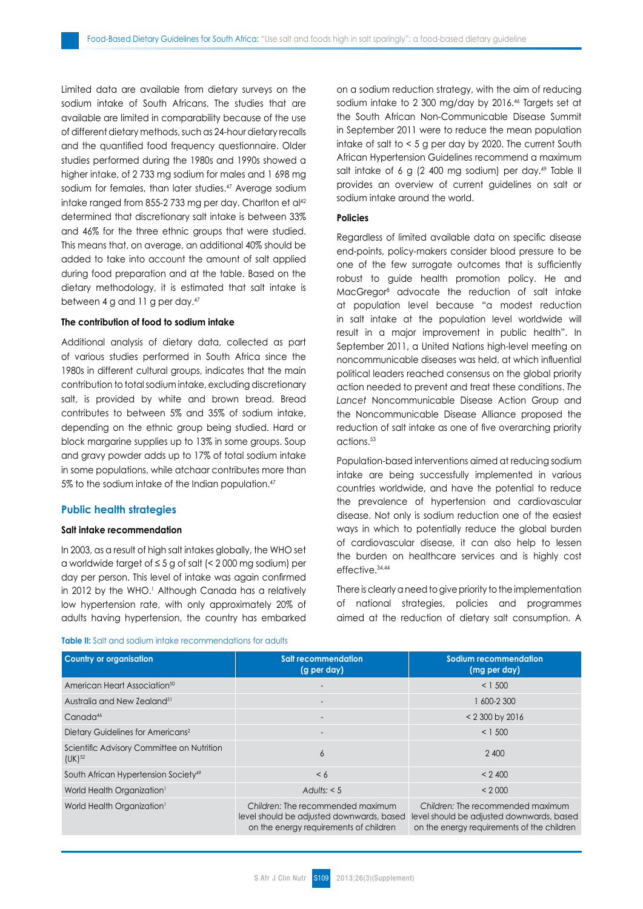Limited data are available from dietary surveys on the sodium intake of South Africans. The studies that are available are limited in comparability because of the use of different dietary methods, such as 24-hour dietary recalls and the quantified food frequency questionnaire. Older studies performed during the 1980s and 1990s showed a higher intake, of 2 733 mg sodium for males and 1 698 mg sodium for females, than later studies.<sup>47</sup> Average sodium intake ranged from 855-2 733 mg per day. Charlton et al<sup>42</sup> determined that discretionary salt intake is between 33% and 46% for the three ethnic groups that were studied. This means that, on average, an additional 40% should be added to take into account the amount of salt applied during food preparation and at the table. Based on the dietary methodology, it is estimated that salt intake is between 4 g and 11 g per day.47

#### **The contribution of food to sodium intake**

Additional analysis of dietary data, collected as part of various studies performed in South Africa since the 1980s in different cultural groups, indicates that the main contribution to total sodium intake, excluding discretionary salt, is provided by white and brown bread. Bread contributes to between 5% and 35% of sodium intake, depending on the ethnic group being studied. Hard or block margarine supplies up to 13% in some groups. Soup and gravy powder adds up to 17% of total sodium intake in some populations, while atchaar contributes more than 5% to the sodium intake of the Indian population.<sup>47</sup>

#### **Public health strategies**

## **Salt intake recommendation**

In 2003, as a result of high salt intakes globally, the WHO set a worldwide target of ≤ 5 g of salt (< 2 000 mg sodium) per day per person. This level of intake was again confirmed in 2012 by the WHO.' Although Canada has a relatively low hypertension rate, with only approximately 20% of adults having hypertension, the country has embarked on a sodium reduction strategy, with the aim of reducing sodium intake to 2 300 mg/day by 2016.46 Targets set at the South African Non-Communicable Disease Summit in September 2011 were to reduce the mean population intake of salt to < 5 g per day by 2020. The current South African Hypertension Guidelines recommend a maximum salt intake of 6 g (2 400 mg sodium) per day.<sup>49</sup> Table II provides an overview of current guidelines on salt or sodium intake around the world.

## **Policies**

Regardless of limited available data on specific disease end-points, policy-makers consider blood pressure to be one of the few surrogate outcomes that is sufficiently robust to guide health promotion policy. He and MacGregor8 advocate the reduction of salt intake at population level because "a modest reduction in salt intake at the population level worldwide will result in a major improvement in public health". In September 2011, a United Nations high-level meeting on noncommunicable diseases was held, at which influential political leaders reached consensus on the global priority action needed to prevent and treat these conditions. *The Lancet* Noncommunicable Disease Action Group and the Noncommunicable Disease Alliance proposed the reduction of salt intake as one of five overarching priority actions.53

Population-based interventions aimed at reducing sodium intake are being successfully implemented in various countries worldwide, and have the potential to reduce the prevalence of hypertension and cardiovascular disease. Not only is sodium reduction one of the easiest ways in which to potentially reduce the global burden of cardiovascular disease, it can also help to lessen the burden on healthcare services and is highly cost effective.34,44

There is clearly a need to give priority to the implementation of national strategies, policies and programmes aimed at the reduction of dietary salt consumption. A

#### **Table II:** Salt and sodium intake recommendations for adults

| <b>Country or organisation</b>                            | <b>Salt recommendation</b><br>(g per day)                                                                                | Sodium recommendation<br>(mg per day)                                                                                        |  |
|-----------------------------------------------------------|--------------------------------------------------------------------------------------------------------------------------|------------------------------------------------------------------------------------------------------------------------------|--|
| American Heart Association <sup>50</sup>                  |                                                                                                                          | < 1,500                                                                                                                      |  |
| Australia and New Zealand <sup>51</sup>                   |                                                                                                                          | 600-2 300                                                                                                                    |  |
| Canada <sup>46</sup>                                      | $\overline{\phantom{0}}$                                                                                                 | < 2 300 by 2016                                                                                                              |  |
| Dietary Guidelines for Americans <sup>2</sup>             | $\overline{\phantom{0}}$                                                                                                 | < 1,500                                                                                                                      |  |
| Scientific Advisory Committee on Nutrition<br>$(UK)^{52}$ | 6                                                                                                                        | 2 400                                                                                                                        |  |
| South African Hypertension Society <sup>49</sup>          | $\leq 6$                                                                                                                 | < 2400                                                                                                                       |  |
| World Health Organization <sup>1</sup>                    | Adults: $< 5$                                                                                                            | < 2000                                                                                                                       |  |
| World Health Organization <sup>1</sup>                    | Children: The recommended maximum<br>level should be adjusted downwards, based<br>on the energy requirements of children | Children: The recommended maximum<br>level should be adjusted downwards, based<br>on the energy requirements of the children |  |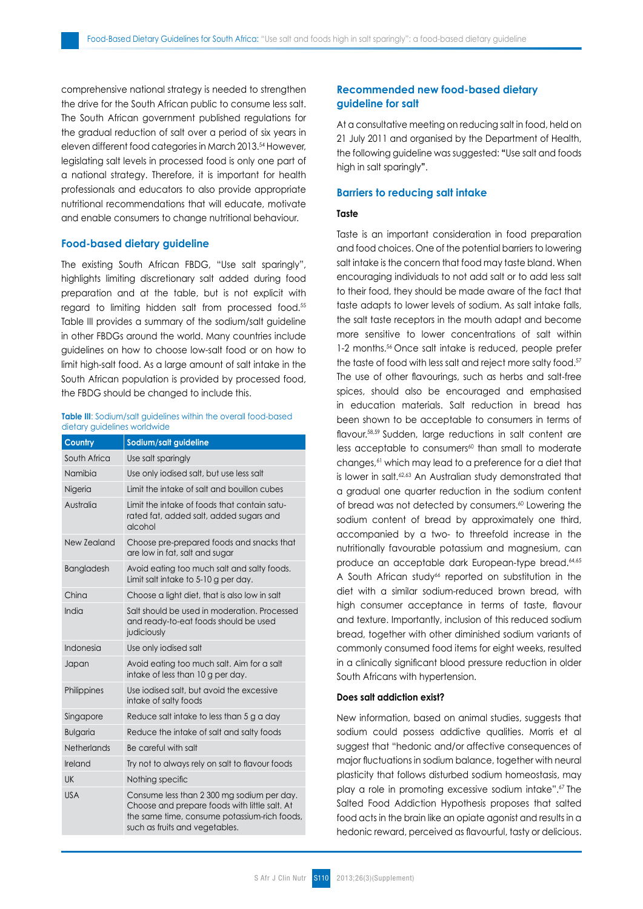comprehensive national strategy is needed to strengthen the drive for the South African public to consume less salt. The South African government published regulations for the gradual reduction of salt over a period of six years in eleven different food categories in March 2013.<sup>54</sup> However, legislating salt levels in processed food is only one part of a national strategy. Therefore, it is important for health professionals and educators to also provide appropriate nutritional recommendations that will educate, motivate and enable consumers to change nutritional behaviour.

#### **Food-based dietary guideline**

The existing South African FBDG, "Use salt sparingly", highlights limiting discretionary salt added during food preparation and at the table, but is not explicit with regard to limiting hidden salt from processed food.55 Table III provides a summary of the sodium/salt guideline in other FBDGs around the world. Many countries include guidelines on how to choose low-salt food or on how to limit high-salt food. As a large amount of salt intake in the South African population is provided by processed food, the FBDG should be changed to include this.

#### **Table III:** Sodium/salt auidelines within the overall food-based dietary guidelines worldwide

| Country         | Sodium/salt guideline                                                                                                                                                         |
|-----------------|-------------------------------------------------------------------------------------------------------------------------------------------------------------------------------|
| South Africa    | Use salt sparingly                                                                                                                                                            |
| Namibia         | Use only iodised salt, but use less salt                                                                                                                                      |
| Nigeria         | Limit the intake of salt and bouillon cubes                                                                                                                                   |
| Australia       | Limit the intake of foods that contain satu-<br>rated fat, added salt, added sugars and<br>alcohol                                                                            |
| New Zealand     | Choose pre-prepared foods and snacks that<br>are low in fat, salt and sugar                                                                                                   |
| Bangladesh      | Avoid eating too much salt and salty foods.<br>Limit salt intake to 5-10 g per day.                                                                                           |
| China           | Choose a light diet, that is also low in salt                                                                                                                                 |
| India           | Salt should be used in moderation. Processed<br>and ready-to-eat foods should be used<br>judiciously                                                                          |
| Indonesia       | Use only iodised salt                                                                                                                                                         |
| Japan           | Avoid eating too much salt. Aim for a salt<br>intake of less than 10 g per day.                                                                                               |
| Philippines     | Use iodised salt, but avoid the excessive<br>intake of salty foods                                                                                                            |
| Singapore       | Reduce salt intake to less than 5 g a day                                                                                                                                     |
| <b>Bulgaria</b> | Reduce the intake of salt and salty foods                                                                                                                                     |
| Netherlands     | Be careful with salt                                                                                                                                                          |
| Ireland         | Try not to always rely on salt to flavour foods                                                                                                                               |
| UK              | Nothing specific                                                                                                                                                              |
| <b>USA</b>      | Consume less than 2 300 mg sodium per day.<br>Choose and prepare foods with little salt. At<br>the same time, consume potassium-rich foods,<br>such as fruits and vegetables. |

# **Recommended new food-based dietary guideline for salt**

At a consultative meeting on reducing salt in food, held on 21 July 2011 and organised by the Department of Health, the following guideline was suggested: **"**Use salt and foods high in salt sparingly**"**.

#### **Barriers to reducing salt intake**

#### **Taste**

Taste is an important consideration in food preparation and food choices. One of the potential barriers to lowering salt intake is the concern that food may taste bland. When encouraging individuals to not add salt or to add less salt to their food, they should be made aware of the fact that taste adapts to lower levels of sodium. As salt intake falls, the salt taste receptors in the mouth adapt and become more sensitive to lower concentrations of salt within 1-2 months.<sup>56</sup> Once salt intake is reduced, people prefer the taste of food with less salt and reject more salty food.<sup>57</sup> The use of other flavourings, such as herbs and salt-free spices, should also be encouraged and emphasised in education materials. Salt reduction in bread has been shown to be acceptable to consumers in terms of flavour.<sup>58,59</sup> Sudden, large reductions in salt content are  $less$  acceptable to consumers $60$  than small to moderate changes,<sup>61</sup> which may lead to a preference for a diet that is lower in salt.<sup>62,63</sup> An Australian study demonstrated that a gradual one quarter reduction in the sodium content of bread was not detected by consumers.<sup>60</sup> Lowering the sodium content of bread by approximately one third, accompanied by a two- to threefold increase in the nutritionally favourable potassium and magnesium, can produce an acceptable dark European-type bread.64,65 A South African study<sup>66</sup> reported on substitution in the diet with a similar sodium-reduced brown bread, with high consumer acceptance in terms of taste, flavour and texture. Importantly, inclusion of this reduced sodium bread, together with other diminished sodium variants of commonly consumed food items for eight weeks, resulted in a clinically significant blood pressure reduction in older South Africans with hypertension.

## **Does salt addiction exist?**

New information, based on animal studies, suggests that sodium could possess addictive qualities. Morris et al suggest that "hedonic and/or affective consequences of major fluctuations in sodium balance, together with neural plasticity that follows disturbed sodium homeostasis, may play a role in promoting excessive sodium intake".67 The Salted Food Addiction Hypothesis proposes that salted food acts in the brain like an opiate agonist and results in a hedonic reward, perceived as flavourful, tasty or delicious.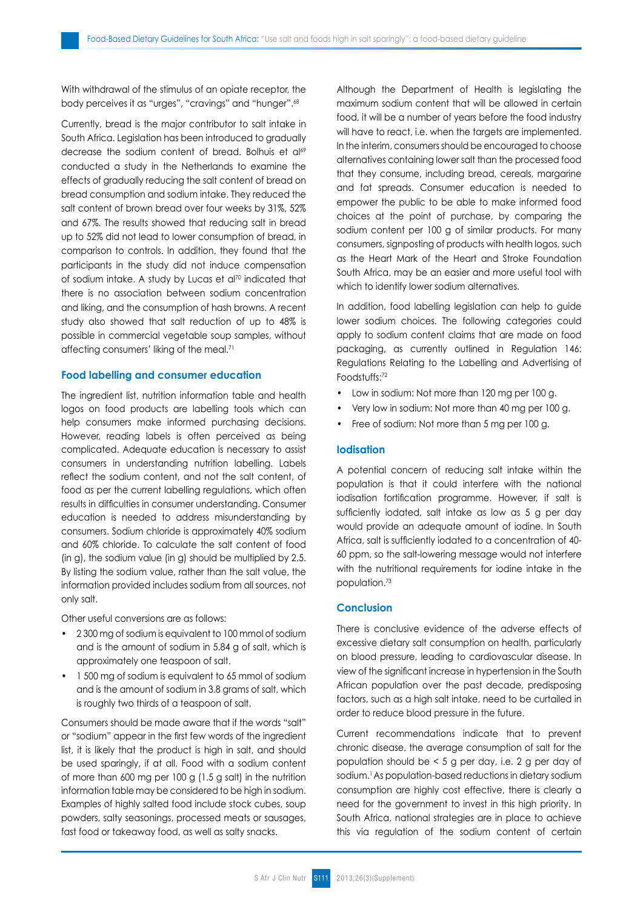With withdrawal of the stimulus of an opiate receptor, the body perceives it as "urges", "cravings" and "hunger".68

Currently, bread is the major contributor to salt intake in South Africa. Legislation has been introduced to gradually decrease the sodium content of bread. Bolhuis et al69 conducted a study in the Netherlands to examine the effects of gradually reducing the salt content of bread on bread consumption and sodium intake. They reduced the salt content of brown bread over four weeks by 31%, 52% and 67%. The results showed that reducing salt in bread up to 52% did not lead to lower consumption of bread, in comparison to controls. In addition, they found that the participants in the study did not induce compensation of sodium intake. A study by Lucas et al<sup>70</sup> indicated that there is no association between sodium concentration and liking, and the consumption of hash browns. A recent study also showed that salt reduction of up to 48% is possible in commercial vegetable soup samples, without affecting consumers' liking of the meal.<sup>71</sup>

## **Food labelling and consumer education**

The ingredient list, nutrition information table and health logos on food products are labelling tools which can help consumers make informed purchasing decisions. However, reading labels is often perceived as being complicated. Adequate education is necessary to assist consumers in understanding nutrition labelling. Labels reflect the sodium content, and not the salt content, of food as per the current labelling regulations, which often results in difficulties in consumer understanding. Consumer education is needed to address misunderstanding by consumers. Sodium chloride is approximately 40% sodium and 60% chloride. To calculate the salt content of food (in g), the sodium value (in g) should be multiplied by 2.5. By listing the sodium value, rather than the salt value, the information provided includes sodium from all sources, not only salt.

Other useful conversions are as follows:

- 2 300 mg of sodium is equivalent to 100 mmol of sodium and is the amount of sodium in 5.84 g of salt, which is approximately one teaspoon of salt.
- 1 500 mg of sodium is equivalent to 65 mmol of sodium and is the amount of sodium in 3.8 grams of salt, which is roughly two thirds of a teaspoon of salt.

Consumers should be made aware that if the words "salt" or "sodium" appear in the first few words of the ingredient list, it is likely that the product is high in salt, and should be used sparingly, if at all. Food with a sodium content of more than 600 mg per 100 g (1.5 g salt) in the nutrition information table may be considered to be high in sodium. Examples of highly salted food include stock cubes, soup powders, salty seasonings, processed meats or sausages, fast food or takeaway food, as well as salty snacks.

Although the Department of Health is legislating the maximum sodium content that will be allowed in certain food, it will be a number of years before the food industry will have to react, i.e. when the targets are implemented. In the interim, consumers should be encouraged to choose alternatives containing lower salt than the processed food that they consume, including bread, cereals, margarine and fat spreads. Consumer education is needed to empower the public to be able to make informed food choices at the point of purchase, by comparing the sodium content per 100 g of similar products. For many consumers, signposting of products with health logos, such as the Heart Mark of the Heart and Stroke Foundation South Africa, may be an easier and more useful tool with which to identify lower sodium alternatives.

In addition, food labelling legislation can help to guide lower sodium choices. The following categories could apply to sodium content claims that are made on food packaging, as currently outlined in Regulation 146: Regulations Relating to the Labelling and Advertising of Foodstuffs:72

- Low in sodium: Not more than 120 mg per 100 g.
- Very low in sodium: Not more than 40 mg per 100 g.
- Free of sodium: Not more than 5 mg per 100 g.

# **Iodisation**

A potential concern of reducing salt intake within the population is that it could interfere with the national iodisation fortification programme. However, if salt is sufficiently iodated, salt intake as low as 5 g per day would provide an adequate amount of iodine. In South Africa, salt is sufficiently iodated to a concentration of 40- 60 ppm, so the salt-lowering message would not interfere with the nutritional requirements for iodine intake in the population.73

## **Conclusion**

There is conclusive evidence of the adverse effects of excessive dietary salt consumption on health, particularly on blood pressure, leading to cardiovascular disease. In view of the significant increase in hypertension in the South African population over the past decade, predisposing factors, such as a high salt intake, need to be curtailed in order to reduce blood pressure in the future.

Current recommendations indicate that to prevent chronic disease, the average consumption of salt for the population should be < 5 g per day, i.e. 2 g per day of sodium.1 As population-based reductions in dietary sodium consumption are highly cost effective, there is clearly a need for the government to invest in this high priority. In South Africa, national strategies are in place to achieve this via regulation of the sodium content of certain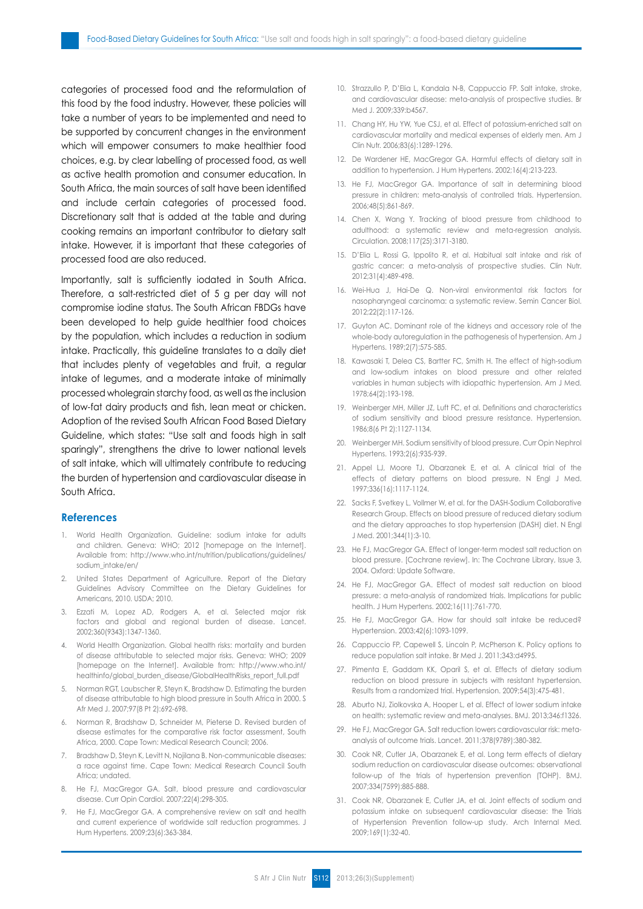categories of processed food and the reformulation of this food by the food industry. However, these policies will take a number of years to be implemented and need to be supported by concurrent changes in the environment which will empower consumers to make healthier food choices, e.g. by clear labelling of processed food, as well as active health promotion and consumer education. In South Africa, the main sources of salt have been identified and include certain categories of processed food. Discretionary salt that is added at the table and during cooking remains an important contributor to dietary salt intake. However, it is important that these categories of processed food are also reduced.

Importantly, salt is sufficiently iodated in South Africa. Therefore, a salt-restricted diet of 5 g per day will not compromise iodine status. The South African FBDGs have been developed to help guide healthier food choices by the population, which includes a reduction in sodium intake. Practically, this guideline translates to a daily diet that includes plenty of vegetables and fruit, a regular intake of legumes, and a moderate intake of minimally processed wholegrain starchy food, as well as the inclusion of low-fat dairy products and fish, lean meat or chicken. Adoption of the revised South African Food Based Dietary Guideline, which states: "Use salt and foods high in salt sparingly", strengthens the drive to lower national levels of salt intake, which will ultimately contribute to reducing the burden of hypertension and cardiovascular disease in South Africa.

## **References**

- 1. World Health Organization. Guideline: sodium intake for adults and children. Geneva: WHO; 2012 [homepage on the Internet]. Available from: http://www.who.int/nutrition/publications/guidelines/ sodium\_intake/en/
- 2. United States Department of Agriculture. Report of the Dietary Guidelines Advisory Committee on the Dietary Guidelines for Americans, 2010. USDA; 2010.
- 3. Ezzati M, Lopez AD, Rodgers A, et al. Selected major risk factors and global and regional burden of disease. Lancet. 2002;360(9343):1347-1360.
- 4. World Health Organization. Global health risks: mortality and burden of disease attributable to selected major risks. Geneva: WHO; 2009 [homepage on the Internet]. Available from: http://www.who.int/ healthinfo/global\_burden\_disease/GlobalHealthRisks\_report\_full.pdf
- 5. Norman RGT, Laubscher R, Steyn K, Bradshaw D. Estimating the burden of disease attributable to high blood pressure in South Africa in 2000. S Afr Med J. 2007;97(8 Pt 2):692-698.
- 6. Norman R, Bradshaw D, Schneider M, Pieterse D. Revised burden of disease estimates for the comparative risk factor assessment, South Africa, 2000. Cape Town: Medical Research Council; 2006.
- 7. Bradshaw D, Steyn K, Levitt N, Nojilana B. Non-communicable diseases: a race against time. Cape Town: Medical Research Council South Africa; undated.
- 8. He FJ, MacGregor GA. Salt, blood pressure and cardiovascular disease. Curr Opin Cardiol. 2007;22(4):298-305.
- 9. He FJ, MacGregor GA. A comprehensive review on salt and health and current experience of worldwide salt reduction programmes. J Hum Hypertens. 2009;23(6):363-384.
- 10. Strazzullo P, D'Elia L, Kandala N-B, Cappuccio FP. Salt intake, stroke, and cardiovascular disease: meta-analysis of prospective studies. Br Med 1 2009:339:b4567
- 11. Chang HY, Hu YW, Yue CSJ, et al. Effect of potassium-enriched salt on cardiovascular mortality and medical expenses of elderly men. Am J Clin Nutr. 2006;83(6):1289-1296.
- 12. De Wardener HE, MacGregor GA. Harmful effects of dietary salt in addition to hypertension. J Hum Hypertens. 2002;16(4):213-223.
- 13. He FJ, MacGregor GA. Importance of salt in determining blood pressure in children: meta-analysis of controlled trials. Hypertension. 2006;48(5):861-869.
- 14. Chen X, Wang Y. Tracking of blood pressure from childhood to adulthood: a systematic review and meta-regression analysis. Circulation. 2008;117(25):3171-3180.
- 15. D'Elia L, Rossi G, Ippolito R, et al. Habitual salt intake and risk of gastric cancer: a meta-analysis of prospective studies. Clin Nutr. 2012;31(4):489-498.
- 16. Wei-Hua J, Hai-De Q. Non-viral environmental risk factors for nasopharyngeal carcinoma: a systematic review. Semin Cancer Biol. 2012;22(2):117-126.
- 17. Guyton AC. Dominant role of the kidneys and accessory role of the whole-body autoregulation in the pathogenesis of hypertension. Am J Hypertens. 1989;2(7):575-585.
- 18. Kawasaki T, Delea CS, Bartter FC, Smith H. The effect of high-sodium and low-sodium intakes on blood pressure and other related variables in human subjects with idiopathic hypertension. Am J Med. 1978;64(2):193-198.
- 19. Weinberger MH, Miller JZ, Luft FC, et al. Definitions and characteristics of sodium sensitivity and blood pressure resistance. Hypertension. 1986;8(6 Pt 2):1127-1134.
- 20. Weinberger MH. Sodium sensitivity of blood pressure. Curr Opin Nephrol Hypertens. 1993;2(6):935-939.
- 21. Appel LJ, Moore TJ, Obarzanek E, et al. A clinical trial of the effects of dietary patterns on blood pressure. N Engl J Med. 1997;336(16):1117-1124.
- 22. Sacks F, Svetkey L, Vollmer W, et al. for the DASH-Sodium Collaborative Research Group. Effects on blood pressure of reduced dietary sodium and the dietary approaches to stop hypertension (DASH) diet. N Engl J Med. 2001;344(1):3-10.
- 23. He FJ, MacGregor GA. Effect of longer-term modest salt reduction on blood pressure. [Cochrane review]. In: The Cochrane Library, Issue 3, 2004. Oxford: Update Software.
- 24. He FJ, MacGregor GA. Effect of modest salt reduction on blood pressure: a meta-analysis of randomized trials. Implications for public health. J Hum Hypertens. 2002;16(11):761-770.
- 25. He FJ, MacGregor GA. How far should salt intake be reduced? Hypertension. 2003;42(6):1093-1099.
- 26. Cappuccio FP, Capewell S, Lincoln P, McPherson K. Policy options to reduce population salt intake. Br Med J. 2011;343:d4995.
- 27. Pimenta E, Gaddam KK, Oparil S, et al. Effects of dietary sodium reduction on blood pressure in subjects with resistant hypertension. Results from a randomized trial. Hypertension. 2009;54(3):475-481.
- 28. Aburto NJ, Ziolkovska A, Hooper L, et al. Effect of lower sodium intake on health: systematic review and meta-analyses. BMJ. 2013;346:f1326.
- 29. He FJ, MacGregor GA. Salt reduction lowers cardiovascular risk: metaanalysis of outcome trials. Lancet. 2011;378(9789):380-382.
- 30. Cook NR, Cutler JA, Obarzanek E, et al. Long term effects of dietary sodium reduction on cardiovascular disease outcomes: observational follow-up of the trials of hypertension prevention (TOHP). BMJ. 2007;334(7599):885-888.
- 31. Cook NR, Obarzanek E, Cutler JA, et al. Joint effects of sodium and potassium intake on subsequent cardiovascular disease: the Trials of Hypertension Prevention follow-up study. Arch Internal Med. 2009;169(1):32-40.